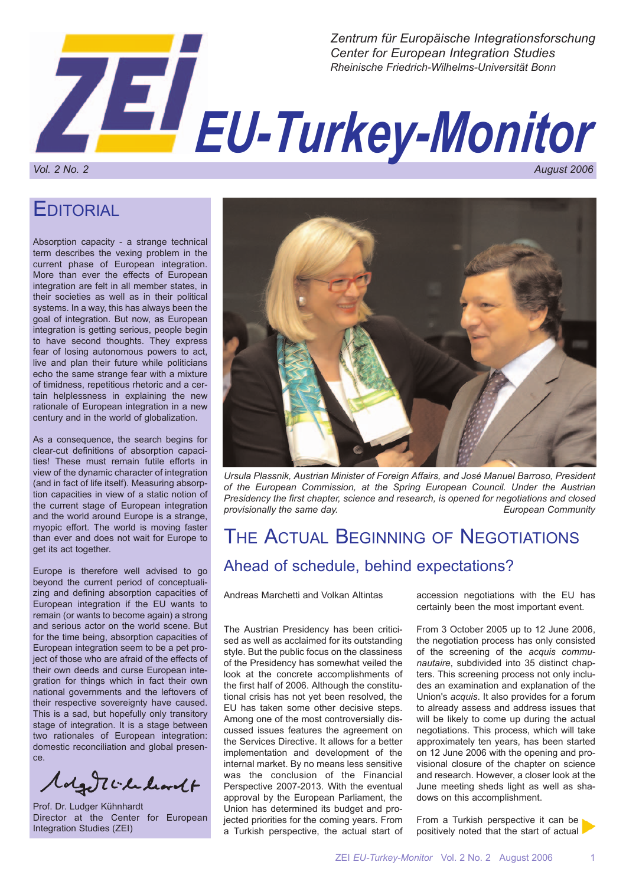

**EDITORIAL** 

Absorption capacity - a strange technical term describes the vexing problem in the current phase of European integration. More than ever the effects of European integration are felt in all member states, in their societies as well as in their political systems. In a way, this has always been the goal of integration. But now, as European integration is getting serious, people begin to have second thoughts. They express fear of losing autonomous powers to act, live and plan their future while politicians echo the same strange fear with a mixture of timidness, repetitious rhetoric and a certain helplessness in explaining the new rationale of European integration in a new century and in the world of globalization.

As a consequence, the search begins for clear-cut definitions of absorption capacities! These must remain futile efforts in view of the dynamic character of integration (and in fact of life itself). Measuring absorption capacities in view of a static notion of the current stage of European integration and the world around Europe is a strange, myopic effort. The world is moving faster than ever and does not wait for Europe to get its act together.

Europe is therefore well advised to go beyond the current period of conceptualizing and defining absorption capacities of European integration if the EU wants to remain (or wants to become again) a strong and serious actor on the world scene. But for the time being, absorption capacities of European integration seem to be a pet project of those who are afraid of the effects of their own deeds and curse European integration for things which in fact their own national governments and the leftovers of their respective sovereignty have caused. This is a sad, but hopefully only transitory stage of integration. It is a stage between two rationales of European integration: domestic reconciliation and global presence.

Magnitudeantt

Prof. Dr. Ludger Kühnhardt Director at the Center for European Integration Studies (ZEI)



*Ursula Plassnik, Austrian Minister of Foreign Affairs, and José Manuel Barroso, President of the European Commission, at the Spring European Council. Under the Austrian Presidency the first chapter, science and research, is opened for negotiations and closed provisionally the same day. European Community*

# THE ACTUAL BEGINNING OF NEGOTIATIONS Ahead of schedule, behind expectations?

Andreas Marchetti and Volkan Altintas

The Austrian Presidency has been criticised as well as acclaimed for its outstanding style. But the public focus on the classiness of the Presidency has somewhat veiled the look at the concrete accomplishments of the first half of 2006. Although the constitutional crisis has not yet been resolved, the EU has taken some other decisive steps. Among one of the most controversially discussed issues features the agreement on the Services Directive. It allows for a better implementation and development of the internal market. By no means less sensitive was the conclusion of the Financial Perspective 2007-2013. With the eventual approval by the European Parliament, the Union has determined its budget and projected priorities for the coming years. From a Turkish perspective, the actual start of

accession negotiations with the EU has certainly been the most important event.

From 3 October 2005 up to 12 June 2006, the negotiation process has only consisted of the screening of the *acquis communautaire*, subdivided into 35 distinct chapters. This screening process not only includes an examination and explanation of the Union's *acquis*. It also provides for a forum to already assess and address issues that will be likely to come up during the actual negotiations. This process, which will take approximately ten years, has been started on 12 June 2006 with the opening and provisional closure of the chapter on science and research. However, a closer look at the June meeting sheds light as well as shadows on this accomplishment.

From a Turkish perspective it can be positively noted that the start of actual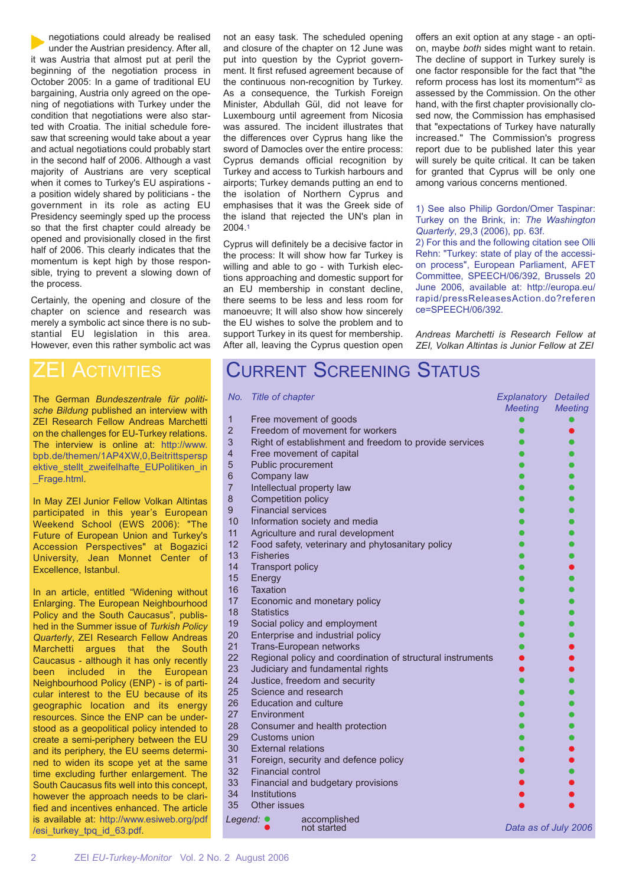negotiations could already be realised under the Austrian presidency. After all, it was Austria that almost put at peril the beginning of the negotiation process in October 2005: In a game of traditional EU bargaining, Austria only agreed on the opening of negotiations with Turkey under the condition that negotiations were also started with Croatia. The initial schedule foresaw that screening would take about a year and actual negotiations could probably start in the second half of 2006. Although a vast majority of Austrians are very sceptical when it comes to Turkey's EU aspirations a position widely shared by politicians - the government in its role as acting EU Presidency seemingly sped up the process so that the first chapter could already be opened and provisionally closed in the first half of 2006. This clearly indicates that the momentum is kept high by those responsible, trying to prevent a slowing down of the process.

Certainly, the opening and closure of the chapter on science and research was merely a symbolic act since there is no substantial EU legislation in this area. However, even this rather symbolic act was

### ZEI ACTIVITIES

The German *Bundeszentrale für politische Bildung* published an interview with ZEI Research Fellow Andreas Marchetti on the challenges for EU-Turkey relations. The interview is online at: http://www. bpb.de/themen/1AP4XW,0,Beitrittspersp ektive stellt zweifelhafte EUPolitiken in \_Frage.html.

In May ZEI Junior Fellow Volkan Altintas participated in this year's European Weekend School (EWS 2006): "The Future of European Union and Turkey's Accession Perspectives" at Bogazici University, Jean Monnet Center of Excellence, Istanbul.

In an article, entitled "Widening without Enlarging. The European Neighbourhood Policy and the South Caucasus", published in the Summer issue of *Turkish Policy Quarterly*, ZEI Research Fellow Andreas Marchetti argues that the South Caucasus - although it has only recently been included in the European Neighbourhood Policy (ENP) - is of particular interest to the EU because of its geographic location and its energy resources. Since the ENP can be understood as a geopolitical policy intended to create a semi-periphery between the EU and its periphery, the EU seems determined to widen its scope yet at the same time excluding further enlargement. The South Caucasus fits well into this concept, however the approach needs to be clarified and incentives enhanced. The article is available at: http://www.esiweb.org/pdf /esi\_turkey\_tpq\_id\_63.pdf.

not an easy task. The scheduled opening and closure of the chapter on 12 June was put into question by the Cypriot government. It first refused agreement because of the continuous non-recognition by Turkey. As a consequence, the Turkish Foreign Minister, Abdullah Gül, did not leave for Luxembourg until agreement from Nicosia was assured. The incident illustrates that the differences over Cyprus hang like the sword of Damocles over the entire process: Cyprus demands official recognition by Turkey and access to Turkish harbours and airports; Turkey demands putting an end to the isolation of Northern Cyprus and emphasises that it was the Greek side of the island that rejected the UN's plan in 2004.1

Cyprus will definitely be a decisive factor in the process: It will show how far Turkey is willing and able to go - with Turkish elections approaching and domestic support for an EU membership in constant decline, there seems to be less and less room for manoeuvre; It will also show how sincerely the EU wishes to solve the problem and to support Turkey in its quest for membership. After all, leaving the Cyprus question open offers an exit option at any stage - an option, maybe *both* sides might want to retain. The decline of support in Turkey surely is one factor responsible for the fact that "the reform process has lost its momentum"2 as assessed by the Commission. On the other hand, with the first chapter provisionally closed now, the Commission has emphasised that "expectations of Turkey have naturally increased." The Commission's progress report due to be published later this year will surely be quite critical. It can be taken for granted that Cyprus will be only one among various concerns mentioned.

#### 1) See also Philip Gordon/Omer Taspinar: Turkey on the Brink, in: *The Washington Quarterly*, 29,3 (2006), pp. 63f.

2) For this and the following citation see Olli Rehn: "Turkey: state of play of the accession process", European Parliament, AFET Committee, SPEECH/06/392, Brussels 20 June 2006, available at: http://europa.eu/ rapid/pressReleasesAction.do?referen ce=SPEECH/06/392.

*Andreas Marchetti is Research Fellow at ZEI, Volkan Altintas is Junior Fellow at ZEI*

## CURRENT SCREENING STATUS

| No.            | Title of chapter                                                                               | <b>Explanatory Detailed</b> |                |
|----------------|------------------------------------------------------------------------------------------------|-----------------------------|----------------|
| $\mathbf{1}$   | Free movement of goods                                                                         | <b>Meeting</b>              | <b>Meeting</b> |
| $\overline{2}$ | Freedom of movement for workers                                                                |                             |                |
| 3              | Right of establishment and freedom to provide services                                         |                             |                |
| $\overline{4}$ | Free movement of capital                                                                       |                             |                |
| 5              | Public procurement                                                                             |                             |                |
| 6              | Company law                                                                                    |                             |                |
| $\overline{7}$ | Intellectual property law                                                                      |                             |                |
| 8              | Competition policy                                                                             |                             |                |
| 9              | <b>Financial services</b>                                                                      |                             |                |
| 10             | Information society and media                                                                  |                             |                |
| 11             | Agriculture and rural development                                                              |                             |                |
| 12             | Food safety, veterinary and phytosanitary policy                                               |                             |                |
| 13             | <b>Fisheries</b>                                                                               |                             |                |
| 14             | <b>Transport policy</b>                                                                        |                             |                |
| 15             | Energy                                                                                         |                             |                |
| 16             | <b>Taxation</b>                                                                                |                             |                |
| 17             | Economic and monetary policy                                                                   |                             |                |
| 18             | <b>Statistics</b>                                                                              |                             |                |
| 19             | Social policy and employment                                                                   |                             |                |
| 20             | Enterprise and industrial policy                                                               |                             |                |
| 21<br>22       | Trans-European networks                                                                        |                             |                |
| 23             | Regional policy and coordination of structural instruments<br>Judiciary and fundamental rights |                             |                |
| 24             | Justice, freedom and security                                                                  |                             |                |
| 25             | Science and research                                                                           |                             |                |
| 26             | <b>Education and culture</b>                                                                   |                             |                |
| 27             | Environment                                                                                    |                             |                |
| 28             | Consumer and health protection                                                                 |                             |                |
| 29             | Customs union                                                                                  |                             |                |
| 30             | <b>External relations</b>                                                                      |                             |                |
| 31             | Foreign, security and defence policy                                                           |                             |                |
| 32             | <b>Financial control</b>                                                                       |                             |                |
| 33             | Financial and budgetary provisions                                                             |                             |                |
| 34             | <b>Institutions</b>                                                                            |                             |                |
| 35             | Other issues                                                                                   |                             |                |
| Legend: ●      | accomplished                                                                                   |                             |                |
|                | not started                                                                                    | Data as of July 2006        |                |
|                |                                                                                                |                             |                |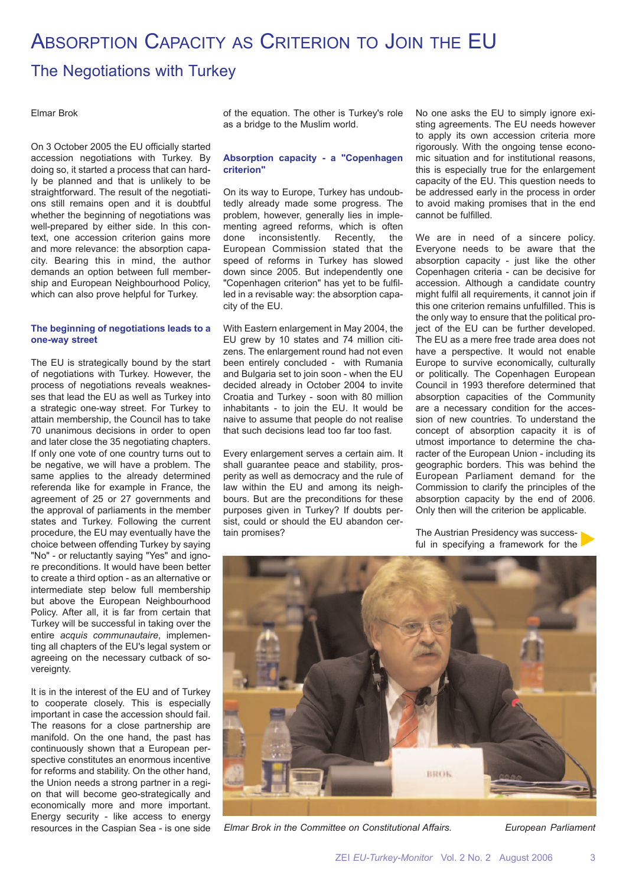# ABSORPTION CAPACITY AS CRITERION TO JOIN THE EU

### The Negotiations with Turkey

#### Elmar Brok

On 3 October 2005 the EU officially started accession negotiations with Turkey. By doing so, it started a process that can hardly be planned and that is unlikely to be straightforward. The result of the negotiations still remains open and it is doubtful whether the beginning of negotiations was well-prepared by either side. In this context, one accession criterion gains more and more relevance: the absorption capacity. Bearing this in mind, the author demands an option between full membership and European Neighbourhood Policy, which can also prove helpful for Turkey.

#### **The beginning of negotiations leads to a one-way street**

The EU is strategically bound by the start of negotiations with Turkey. However, the process of negotiations reveals weaknesses that lead the EU as well as Turkey into a strategic one-way street. For Turkey to attain membership, the Council has to take 70 unanimous decisions in order to open and later close the 35 negotiating chapters. If only one vote of one country turns out to be negative, we will have a problem. The same applies to the already determined referenda like for example in France, the agreement of 25 or 27 governments and the approval of parliaments in the member states and Turkey. Following the current procedure, the EU may eventually have the choice between offending Turkey by saying "No" - or reluctantly saying "Yes" and ignore preconditions. It would have been better to create a third option - as an alternative or intermediate step below full membership but above the European Neighbourhood Policy. After all, it is far from certain that Turkey will be successful in taking over the entire *acquis communautaire*, implementing all chapters of the EU's legal system or agreeing on the necessary cutback of sovereignty.

It is in the interest of the EU and of Turkey to cooperate closely. This is especially important in case the accession should fail. The reasons for a close partnership are manifold. On the one hand, the past has continuously shown that a European perspective constitutes an enormous incentive for reforms and stability. On the other hand, the Union needs a strong partner in a region that will become geo-strategically and economically more and more important. Energy security - like access to energy resources in the Caspian Sea - is one side of the equation. The other is Turkey's role as a bridge to the Muslim world.

#### **Absorption capacity - a "Copenhagen criterion"**

On its way to Europe, Turkey has undoubtedly already made some progress. The problem, however, generally lies in implementing agreed reforms, which is often done inconsistently. Recently, the European Commission stated that the speed of reforms in Turkey has slowed down since 2005. But independently one "Copenhagen criterion" has yet to be fulfilled in a revisable way: the absorption capacity of the EU.

With Eastern enlargement in May 2004, the EU grew by 10 states and 74 million citizens. The enlargement round had not even been entirely concluded - with Rumania and Bulgaria set to join soon - when the EU decided already in October 2004 to invite Croatia and Turkey - soon with 80 million inhabitants - to join the EU. It would be naive to assume that people do not realise that such decisions lead too far too fast.

Every enlargement serves a certain aim. It shall guarantee peace and stability, prosperity as well as democracy and the rule of law within the EU and among its neighbours. But are the preconditions for these purposes given in Turkey? If doubts persist, could or should the EU abandon certain promises?

No one asks the EU to simply ignore existing agreements. The EU needs however to apply its own accession criteria more rigorously. With the ongoing tense economic situation and for institutional reasons, this is especially true for the enlargement capacity of the EU. This question needs to be addressed early in the process in order to avoid making promises that in the end cannot be fulfilled.

We are in need of a sincere policy. Everyone needs to be aware that the absorption capacity - just like the other Copenhagen criteria - can be decisive for accession. Although a candidate country might fulfil all requirements, it cannot join if this one criterion remains unfulfilled. This is the only way to ensure that the political project of the EU can be further developed. The EU as a mere free trade area does not have a perspective. It would not enable Europe to survive economically, culturally or politically. The Copenhagen European Council in 1993 therefore determined that absorption capacities of the Community are a necessary condition for the accession of new countries. To understand the concept of absorption capacity it is of utmost importance to determine the character of the European Union - including its geographic borders. This was behind the European Parliament demand for the Commission to clarify the principles of the absorption capacity by the end of 2006. Only then will the criterion be applicable.

The Austrian Presidency was successful in specifying a framework for the



*Elmar Brok in the Committee on Constitutional Affairs. European Parliament*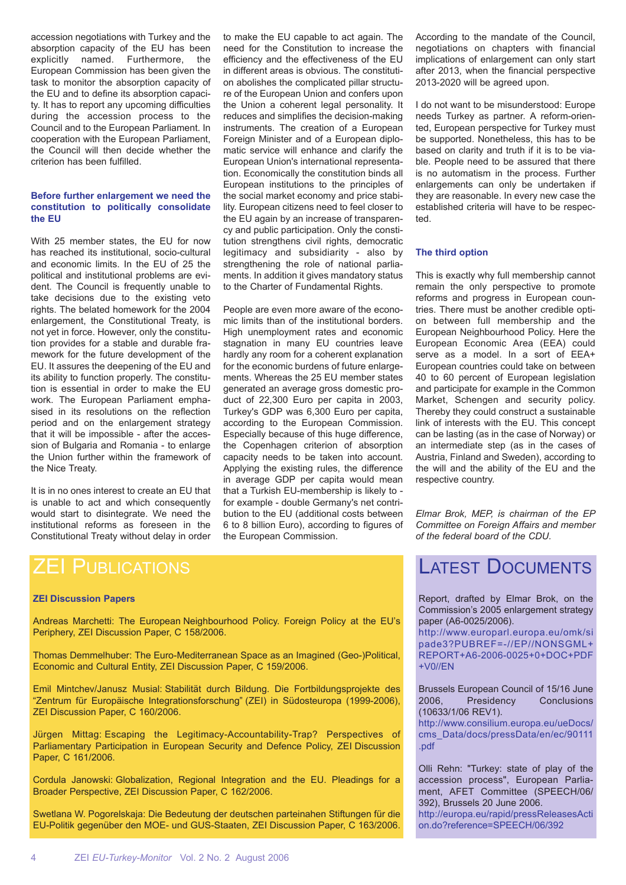accession negotiations with Turkey and the absorption capacity of the EU has been explicitly named. Furthermore, the European Commission has been given the task to monitor the absorption capacity of the EU and to define its absorption capacity. It has to report any upcoming difficulties during the accession process to the Council and to the European Parliament. In cooperation with the European Parliament, the Council will then decide whether the criterion has been fulfilled.

#### **Before further enlargement we need the constitution to politically consolidate the EU**

With 25 member states, the EU for now has reached its institutional, socio-cultural and economic limits. In the EU of 25 the political and institutional problems are evident. The Council is frequently unable to take decisions due to the existing veto rights. The belated homework for the 2004 enlargement, the Constitutional Treaty, is not yet in force. However, only the constitution provides for a stable and durable framework for the future development of the EU. It assures the deepening of the EU and its ability to function properly. The constitution is essential in order to make the EU work. The European Parliament emphasised in its resolutions on the reflection period and on the enlargement strategy that it will be impossible - after the accession of Bulgaria and Romania - to enlarge the Union further within the framework of the Nice Treaty.

It is in no ones interest to create an EU that is unable to act and which consequently would start to disintegrate. We need the institutional reforms as foreseen in the Constitutional Treaty without delay in order to make the EU capable to act again. The need for the Constitution to increase the efficiency and the effectiveness of the EU in different areas is obvious. The constitution abolishes the complicated pillar structure of the European Union and confers upon the Union a coherent legal personality. It reduces and simplifies the decision-making instruments. The creation of a European Foreign Minister and of a European diplomatic service will enhance and clarify the European Union's international representation. Economically the constitution binds all European institutions to the principles of the social market economy and price stability. European citizens need to feel closer to the EU again by an increase of transparency and public participation. Only the constitution strengthens civil rights, democratic legitimacy and subsidiarity - also by strengthening the role of national parliaments. In addition it gives mandatory status to the Charter of Fundamental Rights.

People are even more aware of the economic limits than of the institutional borders. High unemployment rates and economic stagnation in many EU countries leave hardly any room for a coherent explanation for the economic burdens of future enlargements. Whereas the 25 EU member states generated an average gross domestic product of 22,300 Euro per capita in 2003, Turkey's GDP was 6,300 Euro per capita, according to the European Commission. Especially because of this huge difference, the Copenhagen criterion of absorption capacity needs to be taken into account. Applying the existing rules, the difference in average GDP per capita would mean that a Turkish EU-membership is likely to for example - double Germany's net contribution to the EU (additional costs between 6 to 8 billion Euro), according to figures of the European Commission.

According to the mandate of the Council, negotiations on chapters with financial implications of enlargement can only start after 2013, when the financial perspective 2013-2020 will be agreed upon.

I do not want to be misunderstood: Europe needs Turkey as partner. A reform-oriented, European perspective for Turkey must be supported. Nonetheless, this has to be based on clarity and truth if it is to be viable. People need to be assured that there is no automatism in the process. Further enlargements can only be undertaken if they are reasonable. In every new case the established criteria will have to be respected.

#### **The third option**

This is exactly why full membership cannot remain the only perspective to promote reforms and progress in European countries. There must be another credible option between full membership and the European Neighbourhood Policy. Here the European Economic Area (EEA) could serve as a model. In a sort of EEA+ European countries could take on between 40 to 60 percent of European legislation and participate for example in the Common Market, Schengen and security policy. Thereby they could construct a sustainable link of interests with the EU. This concept can be lasting (as in the case of Norway) or an intermediate step (as in the cases of Austria, Finland and Sweden), according to the will and the ability of the EU and the respective country.

*Elmar Brok, MEP, is chairman of the EP Committee on Foreign Affairs and member of the federal board of the CDU.*

#### **ZEI Discussion Papers**

Andreas Marchetti: The European Neighbourhood Policy. Foreign Policy at the EU's Periphery, ZEI Discussion Paper, C 158/2006.

Thomas Demmelhuber: The Euro-Mediterranean Space as an Imagined (Geo-)Political, Economic and Cultural Entity, ZEI Discussion Paper, C 159/2006.

Emil Mintchev/Janusz Musial: Stabilität durch Bildung. Die Fortbildungsprojekte des "Zentrum für Europäische Integrationsforschung" (ZEI) in Südosteuropa (1999-2006), ZEI Discussion Paper, C 160/2006.

Jürgen Mittag: Escaping the Legitimacy-Accountability-Trap? Perspectives of Parliamentary Participation in European Security and Defence Policy, ZEI Discussion Paper, C 161/2006.

Cordula Janowski: Globalization, Regional Integration and the EU. Pleadings for a Broader Perspective, ZEI Discussion Paper, C 162/2006.

Swetlana W. Pogorelskaja: Die Bedeutung der deutschen parteinahen Stiftungen für die EU-Politik gegenüber den MOE- und GUS-Staaten, ZEI Discussion Paper, C 163/2006.

### LATEST DOCUMENTS

Report, drafted by Elmar Brok, on the Commission's 2005 enlargement strategy paper (A6-0025/2006).

http://www.europarl.europa.eu/omk/si pade3?PUBREF=-//EP//NONSGML+ REPORT+A6-2006-0025+0+DOC+PDF +V0//EN

Brussels European Council of 15/16 June 2006. Presidency (10633/1/06 REV1).

http://www.consilium.europa.eu/ueDocs/ cms\_Data/docs/pressData/en/ec/90111 .pdf

Olli Rehn: "Turkey: state of play of the accession process", European Parliament, AFET Committee (SPEECH/06/ 392), Brussels 20 June 2006. http://europa.eu/rapid/pressReleasesActi on.do?reference=SPEECH/06/392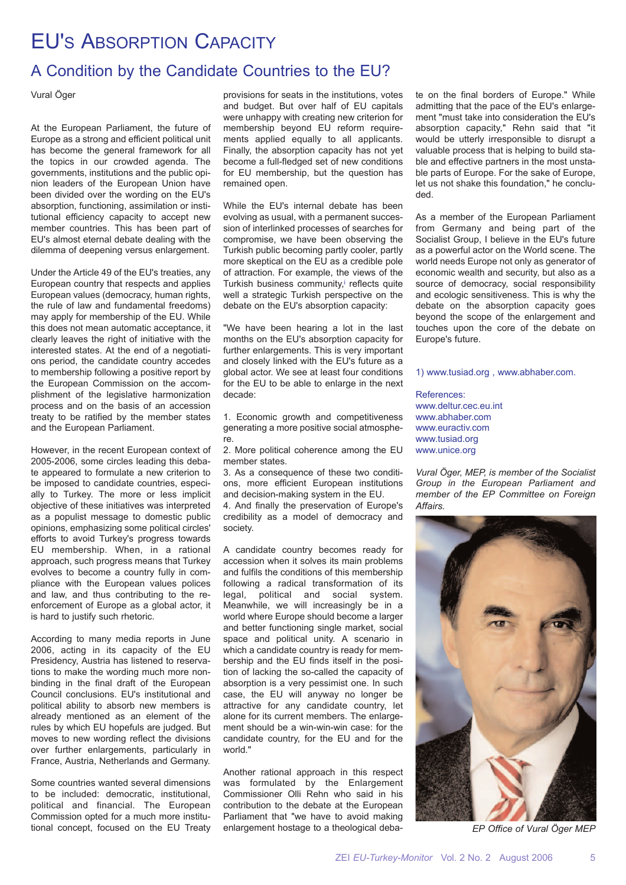# EU'S ABSORPTION CAPACITY

### A Condition by the Candidate Countries to the EU?

Vural Öger

At the European Parliament, the future of Europe as a strong and efficient political unit has become the general framework for all the topics in our crowded agenda. The governments, institutions and the public opinion leaders of the European Union have been divided over the wording on the EU's absorption, functioning, assimilation or institutional efficiency capacity to accept new member countries. This has been part of EU's almost eternal debate dealing with the dilemma of deepening versus enlargement.

Under the Article 49 of the EU's treaties, any European country that respects and applies European values (democracy, human rights, the rule of law and fundamental freedoms) may apply for membership of the EU. While this does not mean automatic acceptance, it clearly leaves the right of initiative with the interested states. At the end of a negotiations period, the candidate country accedes to membership following a positive report by the European Commission on the accomplishment of the legislative harmonization process and on the basis of an accession treaty to be ratified by the member states and the European Parliament.

However, in the recent European context of 2005-2006, some circles leading this debate appeared to formulate a new criterion to be imposed to candidate countries, especially to Turkey. The more or less implicit objective of these initiatives was interpreted as a populist message to domestic public opinions, emphasizing some political circles' efforts to avoid Turkey's progress towards EU membership. When, in a rational approach, such progress means that Turkey evolves to become a country fully in compliance with the European values polices and law, and thus contributing to the reenforcement of Europe as a global actor, it is hard to justify such rhetoric.

According to many media reports in June 2006, acting in its capacity of the EU Presidency, Austria has listened to reservations to make the wording much more nonbinding in the final draft of the European Council conclusions. EU's institutional and political ability to absorb new members is already mentioned as an element of the rules by which EU hopefuls are judged. But moves to new wording reflect the divisions over further enlargements, particularly in France, Austria, Netherlands and Germany.

Some countries wanted several dimensions to be included: democratic, institutional, political and financial. The European Commission opted for a much more institutional concept, focused on the EU Treaty

provisions for seats in the institutions, votes and budget. But over half of EU capitals were unhappy with creating new criterion for membership beyond EU reform requirements applied equally to all applicants. Finally, the absorption capacity has not yet become a full-fledged set of new conditions for EU membership, but the question has remained open.

While the EU's internal debate has been evolving as usual, with a permanent succession of interlinked processes of searches for compromise, we have been observing the Turkish public becoming partly cooler, partly more skeptical on the EU as a credible pole of attraction. For example, the views of the Turkish business community, reflects quite well a strategic Turkish perspective on the debate on the EU's absorption capacity:

"We have been hearing a lot in the last months on the EU's absorption capacity for further enlargements. This is very important and closely linked with the EU's future as a global actor. We see at least four conditions for the EU to be able to enlarge in the next decade:

1. Economic growth and competitiveness generating a more positive social atmosphere.

2. More political coherence among the EU member states.

3. As a consequence of these two conditions, more efficient European institutions and decision-making system in the EU.

4. And finally the preservation of Europe's credibility as a model of democracy and society.

A candidate country becomes ready for accession when it solves its main problems and fulfils the conditions of this membership following a radical transformation of its legal, political and social system. Meanwhile, we will increasingly be in a world where Europe should become a larger and better functioning single market, social space and political unity. A scenario in which a candidate country is ready for membership and the EU finds itself in the position of lacking the so-called the capacity of absorption is a very pessimist one. In such case, the EU will anyway no longer be attractive for any candidate country, let alone for its current members. The enlargement should be a win-win-win case: for the candidate country, for the EU and for the world."

Another rational approach in this respect was formulated by the Enlargement Commissioner Olli Rehn who said in his contribution to the debate at the European Parliament that "we have to avoid making enlargement hostage to a theological deba-

te on the final borders of Europe." While admitting that the pace of the EU's enlargement "must take into consideration the EU's absorption capacity," Rehn said that "it would be utterly irresponsible to disrupt a valuable process that is helping to build stable and effective partners in the most unstable parts of Europe. For the sake of Europe. let us not shake this foundation," he concluded.

As a member of the European Parliament from Germany and being part of the Socialist Group, I believe in the EU's future as a powerful actor on the World scene. The world needs Europe not only as generator of economic wealth and security, but also as a source of democracy, social responsibility and ecologic sensitiveness. This is why the debate on the absorption capacity goes beyond the scope of the enlargement and touches upon the core of the debate on Europe's future.

1) www.tusiad.org , www.abhaber.com.

References: www.deltur.cec.eu.int www.abhaber.com www.euractiv.com www.tusiad.org www.unice.org

*Vural Öger, MEP, is member of the Socialist Group in the European Parliament and member of the EP Committee on Foreign Affairs.*



*EP Office of Vural Öger MEP*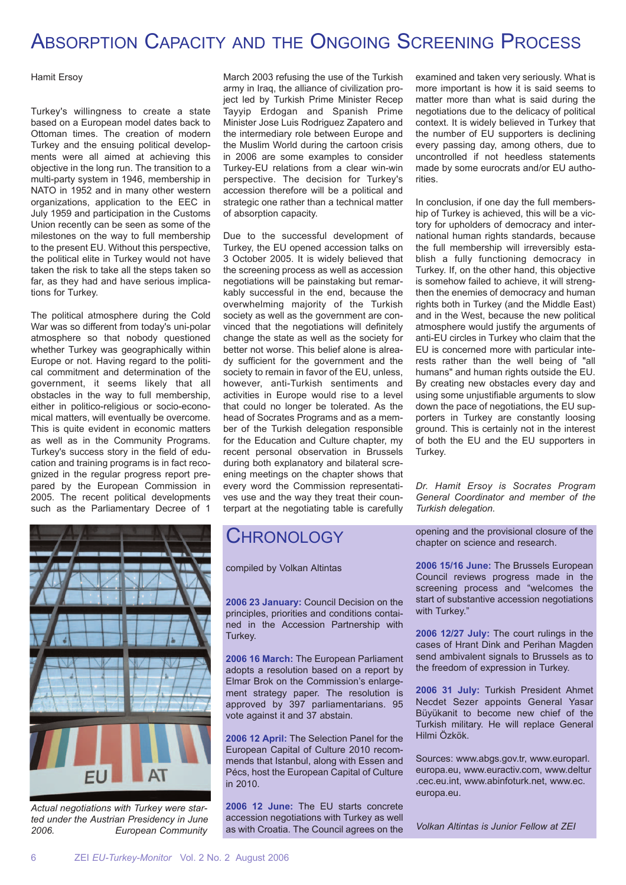# ABSORPTION CAPACITY AND THE ONGOING SCREENING PROCESS

#### Hamit Ersoy

Turkey's willingness to create a state based on a European model dates back to Ottoman times. The creation of modern Turkey and the ensuing political developments were all aimed at achieving this objective in the long run. The transition to a multi-party system in 1946, membership in NATO in 1952 and in many other western organizations, application to the EEC in July 1959 and participation in the Customs Union recently can be seen as some of the milestones on the way to full membership to the present EU. Without this perspective, the political elite in Turkey would not have taken the risk to take all the steps taken so far, as they had and have serious implications for Turkey.

The political atmosphere during the Cold War was so different from today's uni-polar atmosphere so that nobody questioned whether Turkey was geographically within Europe or not. Having regard to the political commitment and determination of the government, it seems likely that all obstacles in the way to full membership, either in politico-religious or socio-economical matters, will eventually be overcome. This is quite evident in economic matters as well as in the Community Programs. Turkey's success story in the field of education and training programs is in fact recognized in the regular progress report prepared by the European Commission in 2005. The recent political developments such as the Parliamentary Decree of 1



*Actual negotiations with Turkey were started under the Austrian Presidency in June 2006. European Community*

March 2003 refusing the use of the Turkish army in Iraq, the alliance of civilization project led by Turkish Prime Minister Recep Tayyip Erdogan and Spanish Prime Minister Jose Luis Rodriguez Zapatero and the intermediary role between Europe and the Muslim World during the cartoon crisis in 2006 are some examples to consider Turkey-EU relations from a clear win-win perspective. The decision for Turkey's accession therefore will be a political and strategic one rather than a technical matter of absorption capacity.

Due to the successful development of Turkey, the EU opened accession talks on 3 October 2005. It is widely believed that the screening process as well as accession negotiations will be painstaking but remarkably successful in the end, because the overwhelming majority of the Turkish society as well as the government are convinced that the negotiations will definitely change the state as well as the society for better not worse. This belief alone is already sufficient for the government and the society to remain in favor of the EU, unless, however, anti-Turkish sentiments and activities in Europe would rise to a level that could no longer be tolerated. As the head of Socrates Programs and as a member of the Turkish delegation responsible for the Education and Culture chapter, my recent personal observation in Brussels during both explanatory and bilateral screening meetings on the chapter shows that every word the Commission representatives use and the way they treat their counterpart at the negotiating table is carefully

### CHRONOLOGY

compiled by Volkan Altintas

**2006 23 January:** Council Decision on the principles, priorities and conditions contained in the Accession Partnership with Turkey.

**2006 16 March:** The European Parliament adopts a resolution based on a report by Elmar Brok on the Commission's enlargement strategy paper. The resolution is approved by 397 parliamentarians. 95 vote against it and 37 abstain.

**2006 12 April:** The Selection Panel for the European Capital of Culture 2010 recommends that Istanbul, along with Essen and Pécs, host the European Capital of Culture in 2010.

**2006 12 June:** The EU starts concrete accession negotiations with Turkey as well as with Croatia. The Council agrees on the

examined and taken very seriously. What is more important is how it is said seems to matter more than what is said during the negotiations due to the delicacy of political context. It is widely believed in Turkey that the number of EU supporters is declining every passing day, among others, due to uncontrolled if not heedless statements made by some eurocrats and/or EU authorities.

In conclusion, if one day the full membership of Turkey is achieved, this will be a victory for upholders of democracy and international human rights standards, because the full membership will irreversibly establish a fully functioning democracy in Turkey. If, on the other hand, this objective is somehow failed to achieve, it will strengthen the enemies of democracy and human rights both in Turkey (and the Middle East) and in the West, because the new political atmosphere would justify the arguments of anti-EU circles in Turkey who claim that the EU is concerned more with particular interests rather than the well being of "all humans" and human rights outside the EU. By creating new obstacles every day and using some unjustifiable arguments to slow down the pace of negotiations, the EU supporters in Turkey are constantly loosing ground. This is certainly not in the interest of both the EU and the EU supporters in Turkey.

*Dr. Hamit Ersoy is Socrates Program General Coordinator and member of the Turkish delegation.*

opening and the provisional closure of the chapter on science and research.

**2006 15/16 June:** The Brussels European Council reviews progress made in the screening process and "welcomes the start of substantive accession negotiations with Turkey."

**2006 12/27 July:** The court rulings in the cases of Hrant Dink and Perihan Magden send ambivalent signals to Brussels as to the freedom of expression in Turkey.

**2006 31 July:** Turkish President Ahmet Necdet Sezer appoints General Yasar Büyükanit to become new chief of the Turkish military. He will replace General Hilmi Özkök.

Sources: www.abgs.gov.tr, www.europarl. europa.eu, www.euractiv.com, www.deltur .cec.eu.int, www.abinfoturk.net, www.ec. europa.eu.

*Volkan Altintas is Junior Fellow at ZEI*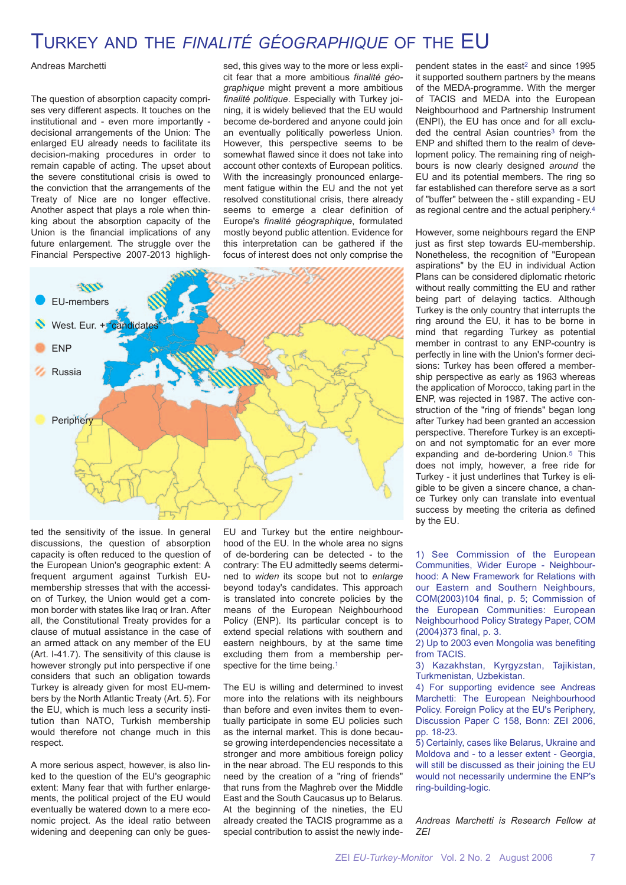### TURKEY AND THE *FINALITÉ GÉOGRAPHIQUE* OF THE EU

Andreas Marchetti

The question of absorption capacity comprises very different aspects. It touches on the institutional and - even more importantly decisional arrangements of the Union: The enlarged EU already needs to facilitate its decision-making procedures in order to remain capable of acting. The upset about the severe constitutional crisis is owed to the conviction that the arrangements of the Treaty of Nice are no longer effective. Another aspect that plays a role when thinking about the absorption capacity of the Union is the financial implications of any future enlargement. The struggle over the Financial Perspective 2007-2013 highligh-

sed, this gives way to the more or less explicit fear that a more ambitious *finalité géographique* might prevent a more ambitious *finalité politique*. Especially with Turkey joining, it is widely believed that the EU would become de-bordered and anyone could join an eventually politically powerless Union. However, this perspective seems to be somewhat flawed since it does not take into account other contexts of European politics. With the increasingly pronounced enlargement fatigue within the EU and the not yet resolved constitutional crisis, there already seems to emerge a clear definition of Europe's *finalité géographique*, formulated mostly beyond public attention. Evidence for this interpretation can be gathered if the focus of interest does not only comprise the



ted the sensitivity of the issue. In general discussions, the question of absorption capacity is often reduced to the question of the European Union's geographic extent: A frequent argument against Turkish EUmembership stresses that with the accession of Turkey, the Union would get a common border with states like Iraq or Iran. After all, the Constitutional Treaty provides for a clause of mutual assistance in the case of an armed attack on any member of the EU (Art. I-41.7). The sensitivity of this clause is however strongly put into perspective if one considers that such an obligation towards Turkey is already given for most EU-members by the North Atlantic Treaty (Art. 5). For the EU, which is much less a security institution than NATO, Turkish membership would therefore not change much in this respect.

A more serious aspect, however, is also linked to the question of the EU's geographic extent: Many fear that with further enlargements, the political project of the EU would eventually be watered down to a mere economic project. As the ideal ratio between widening and deepening can only be gues-

EU and Turkey but the entire neighbourhood of the EU. In the whole area no signs of de-bordering can be detected - to the contrary: The EU admittedly seems determined to *widen* its scope but not to *enlarge* beyond today's candidates. This approach is translated into concrete policies by the means of the European Neighbourhood Policy (ENP). Its particular concept is to extend special relations with southern and eastern neighbours, by at the same time excluding them from a membership perspective for the time being.<sup>1</sup>

The EU is willing and determined to invest more into the relations with its neighbours than before and even invites them to eventually participate in some EU policies such as the internal market. This is done because growing interdependencies necessitate a stronger and more ambitious foreign policy in the near abroad. The EU responds to this need by the creation of a "ring of friends" that runs from the Maghreb over the Middle East and the South Caucasus up to Belarus. At the beginning of the nineties, the EU already created the TACIS programme as a special contribution to assist the newly independent states in the east<sup>2</sup> and since 1995 it supported southern partners by the means of the MEDA-programme. With the merger of TACIS and MEDA into the European Neighbourhood and Partnership Instrument (ENPI), the EU has once and for all excluded the central Asian countries<sup>3</sup> from the ENP and shifted them to the realm of development policy. The remaining ring of neighbours is now clearly designed *around* the EU and its potential members. The ring so far established can therefore serve as a sort of "buffer" between the - still expanding - EU as regional centre and the actual periphery.4

However, some neighbours regard the ENP just as first step towards EU-membership. Nonetheless, the recognition of "European aspirations" by the EU in individual Action Plans can be considered diplomatic rhetoric without really committing the EU and rather being part of delaying tactics. Although Turkey is the only country that interrupts the ring around the EU, it has to be borne in mind that regarding Turkey as potential member in contrast to any ENP-country is perfectly in line with the Union's former decisions: Turkey has been offered a membership perspective as early as 1963 whereas the application of Morocco, taking part in the ENP, was rejected in 1987. The active construction of the "ring of friends" began long after Turkey had been granted an accession perspective. Therefore Turkey is an exception and not symptomatic for an ever more expanding and de-bordering Union.5 This does not imply, however, a free ride for Turkey - it just underlines that Turkey is eligible to be given a sincere chance, a chance Turkey only can translate into eventual success by meeting the criteria as defined by the EU.

1) See Commission of the European Communities, Wider Europe - Neighbourhood: A New Framework for Relations with our Eastern and Southern Neighbours, COM(2003)104 final, p. 5; Commission of the European Communities: European Neighbourhood Policy Strategy Paper, COM (2004)373 final, p. 3.

2) Up to 2003 even Mongolia was benefiting from TACIS.

3) Kazakhstan, Kyrgyzstan, Tajikistan, Turkmenistan, Uzbekistan.

4) For supporting evidence see Andreas Marchetti: The European Neighbourhood Policy. Foreign Policy at the EU's Periphery, Discussion Paper C 158, Bonn: ZEI 2006, pp. 18-23.

5) Certainly, cases like Belarus, Ukraine and Moldova and - to a lesser extent - Georgia, will still be discussed as their joining the EU would not necessarily undermine the ENP's ring-building-logic.

*Andreas Marchetti is Research Fellow at ZEI*